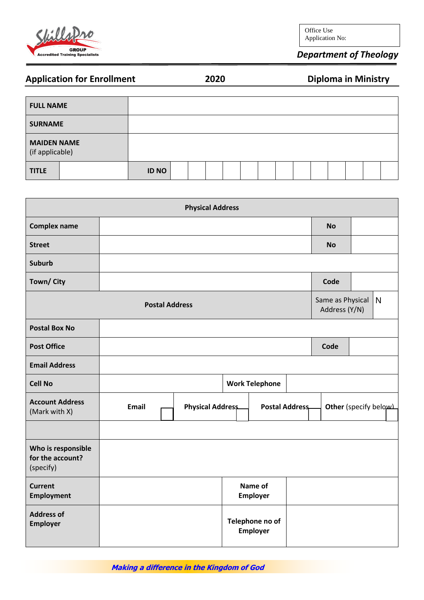

Office Use Application No:

## *Department of Theology*

**Application Engine 2021** 

| <b>Application for Enrollment</b> | 2020 |  |
|-----------------------------------|------|--|
|-----------------------------------|------|--|

| <b>FULL NAME</b>                      |              |  |  |  |  |  |  |
|---------------------------------------|--------------|--|--|--|--|--|--|
| <b>SURNAME</b>                        |              |  |  |  |  |  |  |
| <b>MAIDEN NAME</b><br>(if applicable) |              |  |  |  |  |  |  |
| <b>TITLE</b>                          | <b>ID NO</b> |  |  |  |  |  |  |

|                                                     |                       | <b>Physical Address</b> |  |                             |  |                                   |              |
|-----------------------------------------------------|-----------------------|-------------------------|--|-----------------------------|--|-----------------------------------|--------------|
| <b>Complex name</b>                                 |                       |                         |  |                             |  | <b>No</b>                         |              |
| <b>Street</b>                                       |                       |                         |  |                             |  | <b>No</b>                         |              |
| <b>Suburb</b>                                       |                       |                         |  |                             |  |                                   |              |
| Town/ City                                          |                       |                         |  |                             |  | Code                              |              |
|                                                     | <b>Postal Address</b> |                         |  |                             |  | Same as Physical<br>Address (Y/N) | $\mathsf{N}$ |
| <b>Postal Box No</b>                                |                       |                         |  |                             |  |                                   |              |
| <b>Post Office</b>                                  |                       |                         |  |                             |  | Code                              |              |
| <b>Email Address</b>                                |                       |                         |  |                             |  |                                   |              |
| <b>Cell No</b>                                      |                       |                         |  | <b>Work Telephone</b>       |  |                                   |              |
| <b>Account Address</b><br>(Mark with X)             | <b>Email</b>          | Physical Address        |  | <b>Postal Address</b>       |  | Other (specify below)             |              |
|                                                     |                       |                         |  |                             |  |                                   |              |
| Who is responsible<br>for the account?<br>(specify) |                       |                         |  |                             |  |                                   |              |
| <b>Current</b><br><b>Employment</b>                 |                       | Name of<br>Employer     |  |                             |  |                                   |              |
| <b>Address of</b><br>Employer                       |                       |                         |  | Telephone no of<br>Employer |  |                                   |              |

**Making a difference in the Kingdom of God**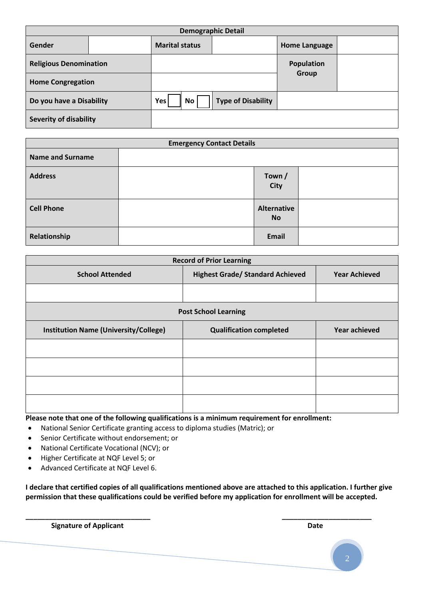|                               | <b>Demographic Detail</b> |                         |                           |                      |  |  |  |  |  |
|-------------------------------|---------------------------|-------------------------|---------------------------|----------------------|--|--|--|--|--|
| Gender                        |                           | <b>Marital status</b>   |                           | <b>Home Language</b> |  |  |  |  |  |
| <b>Religious Denomination</b> |                           |                         |                           | Population           |  |  |  |  |  |
| <b>Home Congregation</b>      |                           |                         |                           | Group                |  |  |  |  |  |
| Do you have a Disability      |                           | <b>Yes</b><br><b>No</b> | <b>Type of Disability</b> |                      |  |  |  |  |  |
| <b>Severity of disability</b> |                           |                         |                           |                      |  |  |  |  |  |

|                         | <b>Emergency Contact Details</b> |                                 |  |  |  |  |  |
|-------------------------|----------------------------------|---------------------------------|--|--|--|--|--|
| <b>Name and Surname</b> |                                  |                                 |  |  |  |  |  |
| <b>Address</b>          |                                  | Town /<br><b>City</b>           |  |  |  |  |  |
| <b>Cell Phone</b>       |                                  | <b>Alternative</b><br><b>No</b> |  |  |  |  |  |
| Relationship            |                                  | Email                           |  |  |  |  |  |

| <b>Record of Prior Learning</b>              |                                         |                      |  |  |  |  |  |
|----------------------------------------------|-----------------------------------------|----------------------|--|--|--|--|--|
| <b>School Attended</b>                       | <b>Highest Grade/ Standard Achieved</b> | <b>Year Achieved</b> |  |  |  |  |  |
|                                              |                                         |                      |  |  |  |  |  |
| <b>Post School Learning</b>                  |                                         |                      |  |  |  |  |  |
| <b>Institution Name (University/College)</b> | <b>Qualification completed</b>          | <b>Year achieved</b> |  |  |  |  |  |
|                                              |                                         |                      |  |  |  |  |  |
|                                              |                                         |                      |  |  |  |  |  |
|                                              |                                         |                      |  |  |  |  |  |
|                                              |                                         |                      |  |  |  |  |  |

**Please note that one of the following qualifications is a minimum requirement for enrollment:** 

- National Senior Certificate granting access to diploma studies (Matric); or
- Senior Certificate without endorsement; or
- National Certificate Vocational (NCV); or
- Higher Certificate at NQF Level 5; or
- Advanced Certificate at NQF Level 6.

**I declare that certified copies of all qualifications mentioned above are attached to this application. I further give permission that these qualifications could be verified before my application for enrollment will be accepted.**

**\_\_\_\_\_\_\_\_\_\_\_\_\_\_\_\_\_\_\_\_\_\_\_\_\_\_\_\_\_\_\_\_ \_\_\_\_\_\_\_\_\_\_\_\_\_\_\_\_\_\_\_\_\_\_\_**

**Signature of Applicant Date**